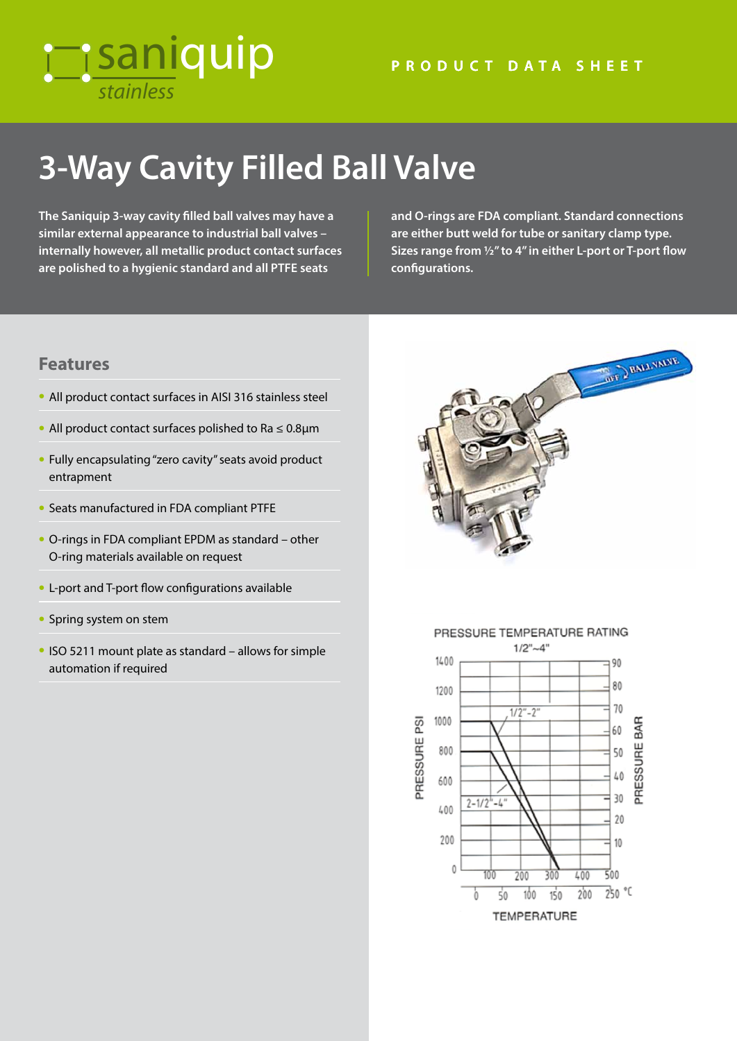## *stainless* **Tisaniquip**

# **3-Way Cavity Filled Ball Valve**

**The Saniquip 3-way cavity filled ball valves may have a similar external appearance to industrial ball valves – internally however, all metallic product contact surfaces are polished to a hygienic standard and all PTFE seats** 

**and O-rings are FDA compliant. Standard connections are either butt weld for tube or sanitary clamp type. Sizes range from ½" to 4" in either L-port or T-port flow configurations.**

### **Features**

- All product contact surfaces in AISI 316 stainless steel
- All product contact surfaces polished to Ra ≤ 0.8µm
- Fully encapsulating "zero cavity" seats avoid product entrapment
- Seats manufactured in FDA compliant PTFE
- O-rings in FDA compliant EPDM as standard other O-ring materials available on request
- L-port and T-port flow configurations available
- Spring system on stem
- ISO 5211 mount plate as standard allows for simple automation if required





### PRESSURE TEMPERATURE RATING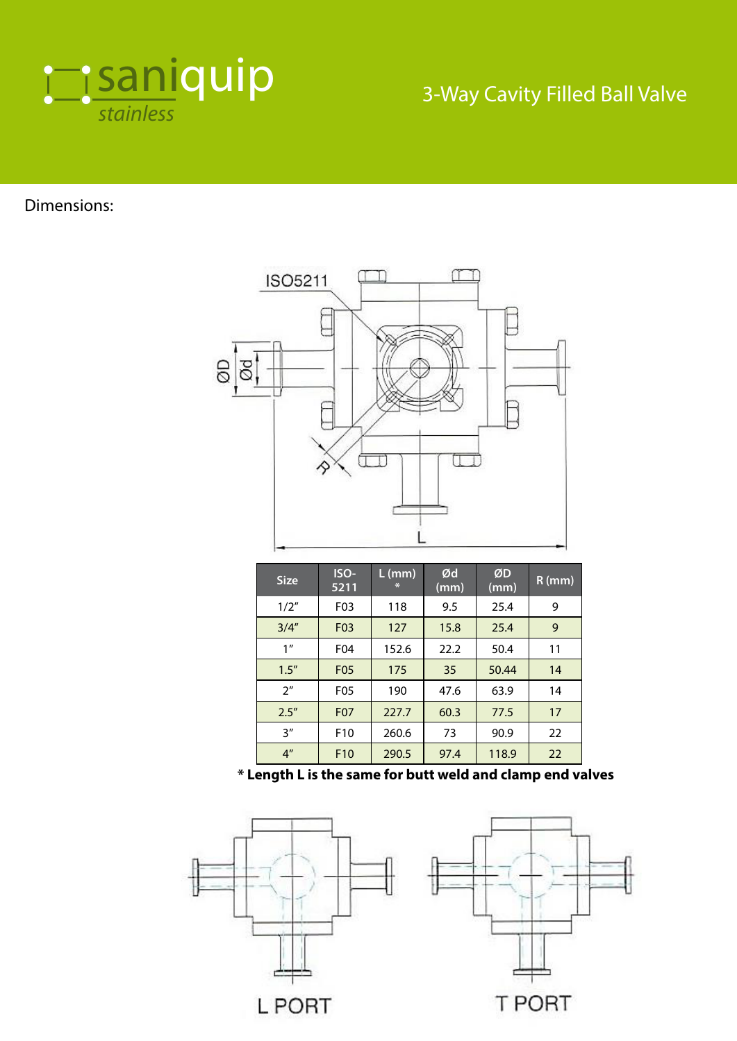

### 3-Way Cavity Filled Ball Valve

Dimensions:



| <b>Size</b>     | ISO-<br>5211     | $L$ (mm)<br>$\ast$ | Ød<br>(mm) | ØD<br>(mm) | $R$ (mm) |
|-----------------|------------------|--------------------|------------|------------|----------|
| 1/2"            | F <sub>0</sub> 3 | 118                | 9.5        | 25.4       | 9        |
| 3/4''           | F <sub>0</sub> 3 | 127                | 15.8       | 25.4       | 9        |
| 1 <sup>''</sup> | F04              | 152.6              | 22.2       | 50.4       | 11       |
| 1.5''           | <b>F05</b>       | 175                | 35         | 50.44      | 14       |
| 2 <sup>n</sup>  | <b>F05</b>       | 190                | 47.6       | 63.9       | 14       |
| 2.5''           | <b>F07</b>       | 227.7              | 60.3       | 77.5       | 17       |
| 3''             | F <sub>10</sub>  | 260.6              | 73         | 90.9       | 22       |
| 4 <sup>''</sup> | F <sub>10</sub>  | 290.5              | 97.4       | 118.9      | 22       |

**\* Length L is the same for butt weld and clamp end valves**